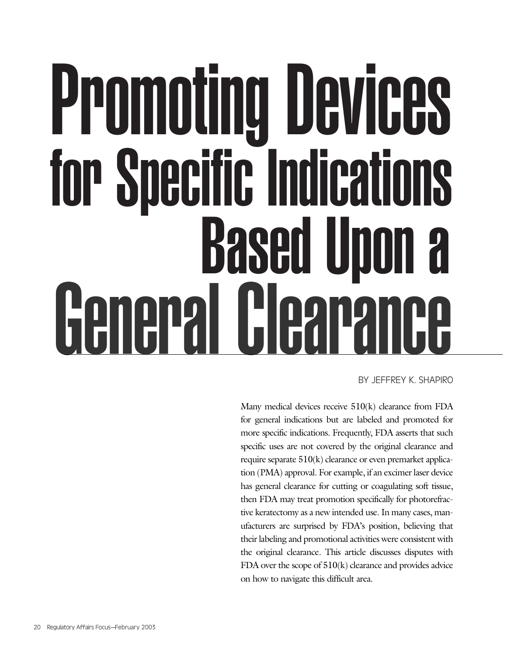# Promoting Devices for Specific Indications Based Upon a General Clearance

BY JEFFREY K. SHAPIRO

Many medical devices receive 510(k) clearance from FDA for general indications but are labeled and promoted for more specific indications. Frequently, FDA asserts that such specific uses are not covered by the original clearance and require separate 510(k) clearance or even premarket application (PMA) approval. For example, if an excimer laser device has general clearance for cutting or coagulating soft tissue, then FDA may treat promotion specifically for photorefractive keratectomy as a new intended use. In many cases, manufacturers are surprised by FDA's position, believing that their labeling and promotional activities were consistent with the original clearance. This article discusses disputes with FDA over the scope of 510(k) clearance and provides advice on how to navigate this difficult area.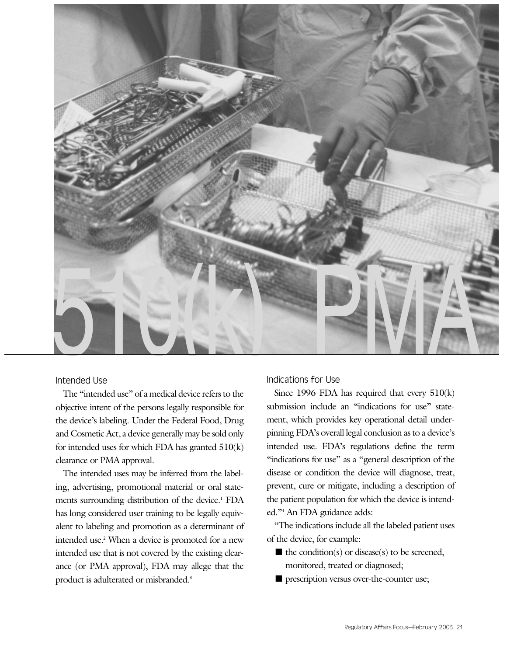

# Intended Use

The "intended use" of a medical device refers to the objective intent of the persons legally responsible for the device's labeling. Under the Federal Food, Drug and Cosmetic Act, a device generally may be sold only for intended uses for which FDA has granted  $510(k)$ clearance or PMA approval.

The intended uses may be inferred from the labeling, advertising, promotional material or oral statements surrounding distribution of the device.<sup>1</sup> FDA has long considered user training to be legally equivalent to labeling and promotion as a determinant of intended use.<sup>2</sup> When a device is promoted for a new intended use that is not covered by the existing clearance (or PMA approval), FDA may allege that the product is adulterated or misbranded.<sup>3</sup>

# Indications for Use

Since 1996 FDA has required that every 510(k) submission include an "indications for use" statement, which provides key operational detail underpinning FDA's overall legal conclusion as to a device's intended use. FDA's regulations define the term "indications for use" as a "general description of the disease or condition the device will diagnose, treat, prevent, cure or mitigate, including a description of the patient population for which the device is intended."4 An FDA guidance adds:

"The indications include all the labeled patient uses of the device, for example:

- $\blacksquare$  the condition(s) or disease(s) to be screened, monitored, treated or diagnosed;
- prescription versus over-the-counter use;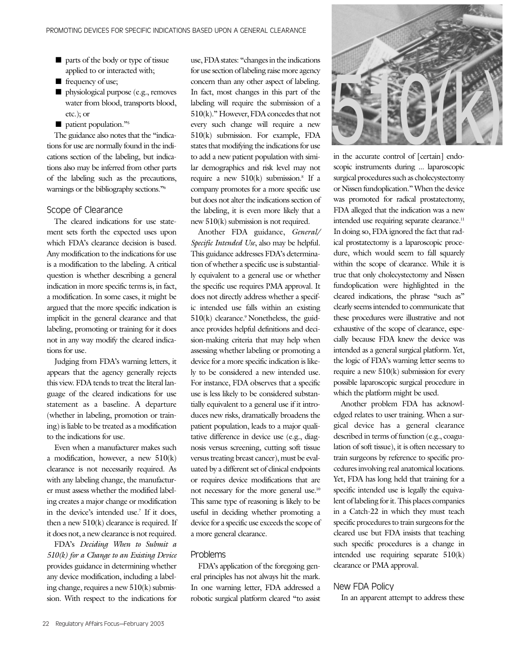- parts of the body or type of tissue applied to or interacted with;
- frequency of use;
- physiological purpose (e.g., removes water from blood, transports blood, etc.); or
- patient population."<sup>5</sup>

The guidance also notes that the "indications for use are normally found in the indications section of the labeling, but indications also may be inferred from other parts of the labeling such as the precautions, warnings or the bibliography sections."6

## Scope of Clearance

The cleared indications for use statement sets forth the expected uses upon which FDA's clearance decision is based. Any modification to the indications for use is a modification to the labeling. A critical question is whether describing a general indication in more specific terms is, in fact, a modification. In some cases, it might be argued that the more specific indication is implicit in the general clearance and that labeling, promoting or training for it does not in any way modify the cleared indications for use.

Judging from FDA's warning letters, it appears that the agency generally rejects this view. FDA tends to treat the literal language of the cleared indications for use statement as a baseline. A departure (whether in labeling, promotion or training) is liable to be treated as a modification to the indications for use.

Even when a manufacturer makes such a modification, however, a new 510(k) clearance is not necessarily required. As with any labeling change, the manufacturer must assess whether the modified labeling creates a major change or modification in the device's intended use.7 If it does, then a new  $510(k)$  clearance is required. If it does not, a new clearance is not required.

FDA's *Deciding When to Submit a 510(k) for a Change to an Existing Device* provides guidance in determining whether any device modification, including a labeling change, requires a new 510(k) submission. With respect to the indications for

use, FDA states: "changes in the indications for use section of labeling raise more agency concern than any other aspect of labeling. In fact, most changes in this part of the labeling will require the submission of a 510(k)." However, FDA concedes that not every such change will require a new 510(k) submission. For example, FDA states that modifying the indications for use to add a new patient population with similar demographics and risk level may not require a new  $510(k)$  submission.<sup>8</sup> If a company promotes for a more specific use but does not alter the indications section of the labeling, it is even more likely that a new 510(k) submission is not required.

Another FDA guidance, *General/ Specific Intended Use*, also may be helpful. This guidance addresses FDA's determination of whether a specific use is substantially equivalent to a general use or whether the specific use requires PMA approval. It does not directly address whether a specific intended use falls within an existing  $510(k)$  clearance.<sup>9</sup> Nonetheless, the guidance provides helpful definitions and decision-making criteria that may help when assessing whether labeling or promoting a device for a more specific indication is likely to be considered a new intended use. For instance, FDA observes that a specific use is less likely to be considered substantially equivalent to a general use if it introduces new risks, dramatically broadens the patient population, leads to a major qualitative difference in device use (e.g., diagnosis versus screening, cutting soft tissue versus treating breast cancer), must be evaluated by a different set of clinical endpoints or requires device modifications that are not necessary for the more general use.10 This same type of reasoning is likely to be useful in deciding whether promoting a device for a specific use exceeds the scope of a more general clearance.

#### Problems

FDA's application of the foregoing general principles has not always hit the mark. In one warning letter, FDA addressed a robotic surgical platform cleared "to assist



scopic instruments during ... laparoscopic surgical procedures such as cholecystectomy or Nissen fundoplication." When the device was promoted for radical prostatectomy, FDA alleged that the indication was a new intended use requiring separate clearance.<sup>11</sup> In doing so, FDA ignored the fact that radical prostatectomy is a laparoscopic procedure, which would seem to fall squarely within the scope of clearance. While it is true that only cholecystectomy and Nissen fundoplication were highlighted in the cleared indications, the phrase "such as" clearly seems intended to communicate that these procedures were illustrative and not exhaustive of the scope of clearance, especially because FDA knew the device was intended as a general surgical platform. Yet, the logic of FDA's warning letter seems to require a new  $510(k)$  submission for every possible laparoscopic surgical procedure in which the platform might be used.

Another problem FDA has acknowledged relates to user training. When a surgical device has a general clearance described in terms of function (e.g., coagulation of soft tissue), it is often necessary to train surgeons by reference to specific procedures involving real anatomical locations. Yet, FDA has long held that training for a specific intended use is legally the equivalent of labeling for it. This places companies in a Catch-22 in which they must teach specific procedures to train surgeons for the cleared use but FDA insists that teaching such specific procedures is a change in intended use requiring separate 510(k) clearance or PMA approval.

## New FDA Policy

In an apparent attempt to address these